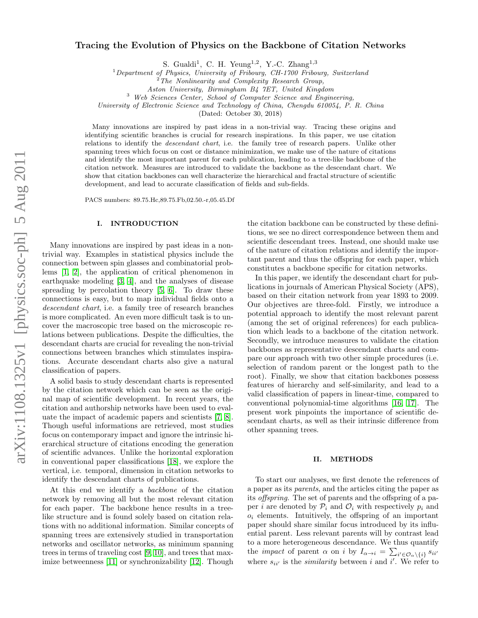# Tracing the Evolution of Physics on the Backbone of Citation Networks

S. Gualdi<sup>1</sup>, C. H. Yeung<sup>1,2</sup>, Y.-C. Zhang<sup>1,3</sup>

 $1$ Department of Physics, University of Fribourg, CH-1700 Fribourg, Switzerland

Aston University, Birmingham B4 7ET, United Kingdom

<sup>3</sup> Web Sciences Center, School of Computer Science and Engineering,

University of Electronic Science and Technology of China, Chengdu 610054, P. R. China

(Dated: October 30, 2018)

Many innovations are inspired by past ideas in a non-trivial way. Tracing these origins and identifying scientific branches is crucial for research inspirations. In this paper, we use citation relations to identify the descendant chart, i.e. the family tree of research papers. Unlike other spanning trees which focus on cost or distance minimization, we make use of the nature of citations and identify the most important parent for each publication, leading to a tree-like backbone of the citation network. Measures are introduced to validate the backbone as the descendant chart. We show that citation backbones can well characterize the hierarchical and fractal structure of scientific development, and lead to accurate classification of fields and sub-fields.

PACS numbers: 89.75.Hc,89.75.Fb,02.50.-r,05.45.Df

## I. INTRODUCTION

Many innovations are inspired by past ideas in a nontrivial way. Examples in statistical physics include the connection between spin glasses and combinatorial problems [\[1,](#page-5-0) [2\]](#page-5-1), the application of critical phenomenon in earthquake modeling [\[3,](#page-5-2) [4\]](#page-5-3), and the analyses of disease spreading by percolation theory [\[5,](#page-5-4) [6\]](#page-5-5). To draw these connections is easy, but to map individual fields onto a descendant chart, i.e. a family tree of research branches is more complicated. An even more difficult task is to uncover the macroscopic tree based on the microscopic relations between publications. Despite the difficulties, the descendant charts are crucial for revealing the non-trivial connections between branches which stimulates inspirations. Accurate descendant charts also give a natural classification of papers.

A solid basis to study descendant charts is represented by the citation network which can be seen as the original map of scientific development. In recent years, the citation and authorship networks have been used to evaluate the impact of academic papers and scientists [\[7,](#page-5-6) [8\]](#page-5-7). Though useful informations are retrieved, most studies focus on contemporary impact and ignore the intrinsic hierarchical structure of citations encoding the generation of scientific advances. Unlike the horizontal exploration in conventional paper classifications [\[18\]](#page-5-8), we explore the vertical, i.e. temporal, dimension in citation networks to identify the descendant charts of publications.

At this end we identify a backbone of the citation network by removing all but the most relevant citation for each paper. The backbone hence results in a treelike structure and is found solely based on citation relations with no additional information. Similar concepts of spanning trees are extensively studied in transportation networks and oscillator networks, as minimum spanning trees in terms of traveling cost [\[9,](#page-5-9) [10\]](#page-5-10), and trees that maximize betweenness [\[11\]](#page-5-11) or synchronizability [\[12\]](#page-5-12). Though

the citation backbone can be constructed by these definitions, we see no direct correspondence between them and scientific descendant trees. Instead, one should make use of the nature of citation relations and identify the important parent and thus the offspring for each paper, which constitutes a backbone specific for citation networks.

In this paper, we identify the descendant chart for publications in journals of American Physical Society (APS), based on their citation network from year 1893 to 2009. Our objectives are three-fold. Firstly, we introduce a potential approach to identify the most relevant parent (among the set of original references) for each publication which leads to a backbone of the citation network. Secondly, we introduce measures to validate the citation backbones as representative descendant charts and compare our approach with two other simple procedures (i.e. selection of random parent or the longest path to the root). Finally, we show that citation backbones possess features of hierarchy and self-similarity, and lead to a valid classification of papers in linear-time, compared to conventional polynomial-time algorithms [\[16,](#page-5-13) [17\]](#page-5-14). The present work pinpoints the importance of scientific descendant charts, as well as their intrinsic difference from other spanning trees.

# II. METHODS

To start our analyses, we first denote the references of a paper as its parents, and the articles citing the paper as its offspring. The set of parents and the offspring of a paper *i* are denoted by  $\mathcal{P}_i$  and  $\mathcal{O}_i$  with respectively  $p_i$  and  $o_i$  elements. Intuitively, the offspring of an important paper should share similar focus introduced by its influential parent. Less relevant parents will by contrast lead to a more heterogeneous descendance. We thus quantify the *impact* of parent  $\alpha$  on *i* by  $I_{\alpha \to i} = \sum_{i' \in \mathcal{O}_{\alpha} \setminus \{i\}} s_{ii'}$ where  $s_{ii'}$  is the *similarity* between i and i'. We refer to

<sup>2</sup>The Nonlinearity and Complexity Research Group,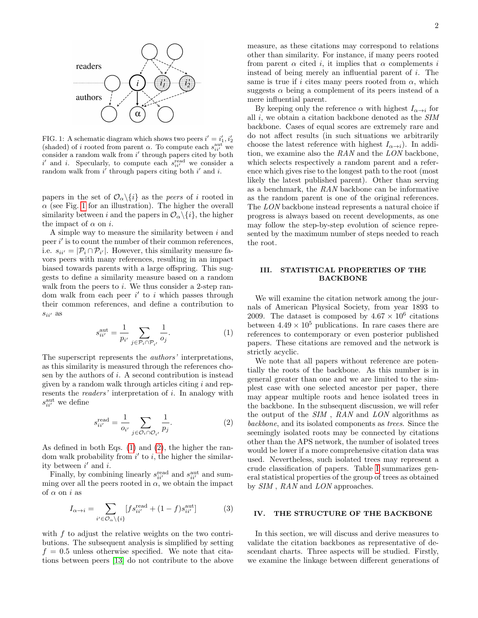

<span id="page-1-0"></span>FIG. 1: A schematic diagram which shows two peers  $i' = i'_1, i'_2$ (shaded) of i rooted from parent  $\alpha$ . To compute each  $s_{ii'}^{\text{aut}}$  we consider a random walk from  $i'$  through papers cited by both i' and i. Specularly, to compute each  $s_{ii'}^{\text{read}}$  we consider a random walk from  $i'$  through papers citing both  $i'$  and i.

papers in the set of  $\mathcal{O}_{\alpha}\backslash\{i\}$  as the *peers* of i rooted in  $\alpha$  (see Fig. [1](#page-1-0) for an illustration). The higher the overall similarity between i and the papers in  $\mathcal{O}_{\alpha}\setminus\{i\}$ , the higher the impact of  $\alpha$  on *i*.

A simple way to measure the similarity between i and peer  $i'$  is to count the number of their common references, i.e.  $s_{ii'} = |\mathcal{P}_i \cap \mathcal{P}_{i'}|$ . However, this similarity measure favors peers with many references, resulting in an impact biased towards parents with a large offspring. This suggests to define a similarity measure based on a random walk from the peers to  $i$ . We thus consider a 2-step random walk from each peer  $i'$  to i which passes through their common references, and define a contribution to  $s_{ii'}$  as

<span id="page-1-1"></span>
$$
s_{ii'}^{\text{aut}} = \frac{1}{p_{i'}} \sum_{j \in \mathcal{P}_i \cap \mathcal{P}_{i'}} \frac{1}{o_j}.
$$
 (1)

The superscript represents the authors' interpretations, as this similarity is measured through the references chosen by the authors of  $i$ . A second contribution is instead given by a random walk through articles citing  $i$  and represents the *readers*' interpretation of i. In analogy with  $s_{ii'}^{\text{aut}}$  we define

<span id="page-1-2"></span>
$$
s_{ii'}^{\text{read}} = \frac{1}{o_{i'}} \sum_{j \in \mathcal{O}_i \cap \mathcal{O}_{i'}} \frac{1}{p_j}.
$$
 (2)

As defined in both Eqs. [\(1\)](#page-1-1) and [\(2\)](#page-1-2), the higher the random walk probability from  $i'$  to  $i$ , the higher the similarity between  $i'$  and  $i$ .

Finally, by combining linearly  $s_{ii'}^{\text{read}}$  and  $s_{ii'}^{\text{aut}}$  and summing over all the peers rooted in  $\alpha$ , we obtain the impact of  $\alpha$  on i as

<span id="page-1-3"></span>
$$
I_{\alpha \to i} = \sum_{i' \in \mathcal{O}_{\alpha} \backslash \{i\}} [f s_{ii'}^{\text{read}} + (1 - f) s_{ii'}^{\text{aut}}]
$$
(3)

with f to adjust the relative weights on the two contributions. The subsequent analysis is simplified by setting  $f = 0.5$  unless otherwise specified. We note that citations between peers [\[13\]](#page-5-15) do not contribute to the above measure, as these citations may correspond to relations other than similarity. For instance, if many peers rooted from parent  $\alpha$  cited i, it implies that  $\alpha$  complements i instead of being merely an influential parent of i. The same is true if i cites many peers rooted from  $\alpha$ , which suggests  $\alpha$  being a complement of its peers instead of a mere influential parent.

By keeping only the reference  $\alpha$  with highest  $I_{\alpha\rightarrow i}$  for all i, we obtain a citation backbone denoted as the SIM backbone. Cases of equal scores are extremely rare and do not affect results (in such situations we arbitrarily choose the latest reference with highest  $I_{\alpha \to i}$ ). In addition, we examine also the  $RAN$  and the  $LON$  backbone, which selects respectively a random parent and a reference which gives rise to the longest path to the root (most likely the latest published parent). Other than serving as a benchmark, the RAN backbone can be informative as the random parent is one of the original references. The LON backbone instead represents a natural choice if progress is always based on recent developments, as one may follow the step-by-step evolution of science represented by the maximum number of steps needed to reach the root.

# III. STATISTICAL PROPERTIES OF THE BACKBONE

We will examine the citation network among the journals of American Physical Society, from year 1893 to 2009. The dataset is composed by  $4.67 \times 10^6$  citations between  $4.49 \times 10^5$  publications. In rare cases there are references to contemporary or even posterior published papers. These citations are removed and the network is strictly acyclic.

We note that all papers without reference are potentially the roots of the backbone. As this number is in general greater than one and we are limited to the simplest case with one selected ancestor per paper, there may appear multiple roots and hence isolated trees in the backbone. In the subsequent discussion, we will refer the output of the SIM , RAN and LON algorithms as backbone, and its isolated components as trees. Since the seemingly isolated roots may be connected by citations other than the APS network, the number of isolated trees would be lower if a more comprehensive citation data was used. Nevertheless, such isolated trees may represent a crude classification of papers. Table [I](#page-2-0) summarizes general statistical properties of the group of trees as obtained by SIM , RAN and LON approaches.

# IV. THE STRUCTURE OF THE BACKBONE

In this section, we will discuss and derive measures to validate the citation backbones as representative of descendant charts. Three aspects will be studied. Firstly, we examine the linkage between different generations of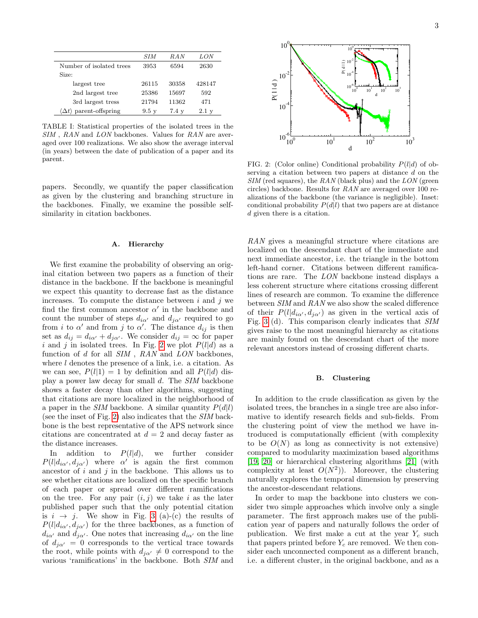|           | SIM   | RAN   | LON    |
|-----------|-------|-------|--------|
| $l$ trees | 3953  | 6594  | 2630   |
|           |       |       |        |
|           | 26115 | 30358 | 428147 |

TABLE I: Statistical properties of the isolated trees in the SIM, RAN and LON backbones. Values for RAN are averaged over 100 realizations. We also show the average interval (in years) between the date of publication of a paper and its parent.

<span id="page-2-0"></span>2nd largest tree 25386 15697 592 3rd largest tress 21794 11362 471  $\langle \Delta t \rangle$  parent-offspring 9.5 y 7.4 y 2.1 y

Number of isolated

largest tree

Size:

papers. Secondly, we quantify the paper classification as given by the clustering and branching structure in the backbones. Finally, we examine the possible selfsimilarity in citation backbones.

# A. Hierarchy

We first examine the probability of observing an original citation between two papers as a function of their distance in the backbone. If the backbone is meaningful we expect this quantity to decrease fast as the distance increases. To compute the distance between  $i$  and  $j$  we find the first common ancestor  $\alpha'$  in the backbone and count the number of steps  $d_{i\alpha}$  and  $d_{j\alpha}$  required to go from *i* to  $\alpha'$  and from *j* to  $\alpha'$ . The distance  $d_{ij}$  is then set as  $d_{ij} = d_{i\alpha'} + d_{j\alpha'}$ . We consider  $d_{ij} = \infty$  for paper i and j in isolated trees. In Fig. [2](#page-2-1) we plot  $P(l|d)$  as a function of  $d$  for all  $SIM$ ,  $RAN$  and  $LON$  backbones, where l denotes the presence of a link, i.e. a citation. As we can see,  $P(l|1) = 1$  by definition and all  $P(l|d)$  display a power law decay for small d. The SIM backbone shows a faster decay than other algorithms, suggesting that citations are more localized in the neighborhood of a paper in the SIM backbone. A similar quantity  $P(d|l)$ (see the inset of Fig. [2\)](#page-2-1) also indicates that the SIM backbone is the best representative of the APS network since citations are concentrated at  $d = 2$  and decay faster as the distance increases.

In addition to  $P(l|d)$ , we further consider  $P(l|d_{i\alpha}, d_{j\alpha})$  where  $\alpha'$  is again the first common ancestor of  $i$  and  $j$  in the backbone. This allows us to see whether citations are localized on the specific branch of each paper or spread over different ramifications on the tree. For any pair  $(i, j)$  we take i as the later published paper such that the only potential citation is  $i \rightarrow j$ . We show in Fig. [3](#page-3-0) (a)-(c) the results of  $P(l|d_{i\alpha}, d_{i\alpha})$  for the three backbones, as a function of  $d_{i\alpha}$  and  $d_{i\alpha}$ . One notes that increasing  $d_{i\alpha}$  on the line of  $d_{i\alpha} = 0$  corresponds to the vertical trace towards the root, while points with  $d_{i\alpha'} \neq 0$  correspond to the various 'ramifications' in the backbone. Both SIM and



<span id="page-2-1"></span>FIG. 2: (Color online) Conditional probability  $P(l|d)$  of observing a citation between two papers at distance d on the  $SIM$  (red squares), the  $RAN$  (black plus) and the  $LON$  (green circles) backbone. Results for RAN are averaged over 100 realizations of the backbone (the variance is negligible). Inset: conditional probability  $P(d|l)$  that two papers are at distance d given there is a citation.

RAN gives a meaningful structure where citations are localized on the descendant chart of the immediate and next immediate ancestor, i.e. the triangle in the bottom left-hand corner. Citations between different ramifications are rare. The LON backbone instead displays a less coherent structure where citations crossing different lines of research are common. To examine the difference between SIM and RAN we also show the scaled difference of their  $P(l|d_{i\alpha}, d_{j\alpha})$  as given in the vertical axis of Fig. [3](#page-3-0) (d). This comparison clearly indicates that SIM gives raise to the most meaningful hierarchy as citations are mainly found on the descendant chart of the more relevant ancestors instead of crossing different charts.

### B. Clustering

In addition to the crude classification as given by the isolated trees, the branches in a single tree are also informative to identify research fields and sub-fields. From the clustering point of view the method we have introduced is computationally efficient (with complexity to be  $O(N)$  as long as connectivity is not extensive) compared to modularity maximization based algorithms [\[19,](#page-5-16) [20\]](#page-5-17) or hierarchical clustering algorithms [\[21\]](#page-5-18) (with complexity at least  $O(N^2)$ ). Moreover, the clustering naturally explores the temporal dimension by preserving the ancestor-descendant relations.

In order to map the backbone into clusters we consider two simple approaches which involve only a single parameter. The first approach makes use of the publication year of papers and naturally follows the order of publication. We first make a cut at the year  $Y_c$  such that papers printed before  $Y_c$  are removed. We then consider each unconnected component as a different branch, i.e. a different cluster, in the original backbone, and as a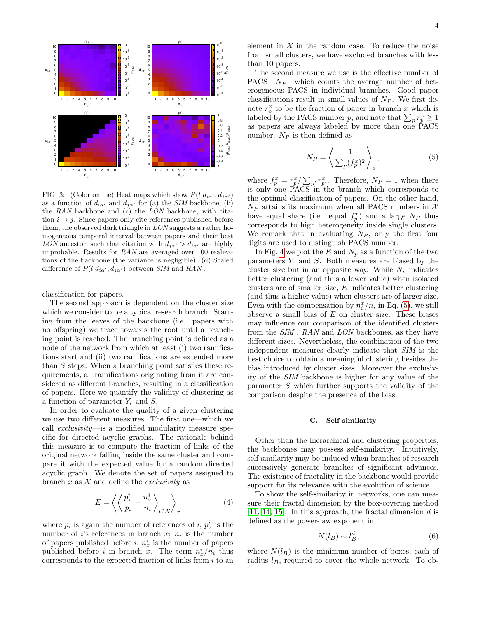

<span id="page-3-0"></span>FIG. 3: (Color online) Heat maps which show  $P(l|d_{i\alpha}, d_{i\alpha})$ as a function of  $d_{i\alpha}$  and  $d_{j\alpha}$  for (a) the SIM backbone, (b) the RAN backbone and (c) the LON backbone, with citation  $i \rightarrow j$ . Since papers only cite references published before them, the observed dark triangle in LON suggests a rather homogeneous temporal interval between papers and their best LON ancestor, such that citation with  $d_{j\alpha'} > d_{i\alpha'}$  are highly improbable. Results for RAN are averaged over 100 realizations of the backbone (the variance is negligible). (d) Scaled difference of  $P(l|d_{i\alpha'}, d_{j\alpha'})$  between SIM and RAN.

classification for papers.

The second approach is dependent on the cluster size which we consider to be a typical research branch. Starting from the leaves of the backbone (i.e. papers with no offspring) we trace towards the root until a branching point is reached. The branching point is defined as a node of the network from which at least (i) two ramifications start and (ii) two ramifications are extended more than S steps. When a branching point satisfies these requirements, all ramifications originating from it are considered as different branches, resulting in a classification of papers. Here we quantify the validity of clustering as a function of parameter  $Y_c$  and  $S$ .

In order to evaluate the quality of a given clustering we use two different measures. The first one—which we call exclusivity—is a modified modularity measure specific for directed acyclic graphs. The rationale behind this measure is to compute the fraction of links of the original network falling inside the same cluster and compare it with the expected value for a random directed acyclic graph. We denote the set of papers assigned to branch x as  $\mathcal X$  and define the *exclusivity* as

$$
E = \left\langle \left\langle \frac{p_x^i}{p_i} - \frac{n_x^i}{n_i} \right\rangle_{i \in \mathcal{X}} \right\rangle_x \tag{4}
$$

where  $p_i$  is again the number of references of *i*;  $p_x^i$  is the number of *i*'s references in branch  $x$ ;  $n_i$  is the number of papers published before  $i; n_x^i$  is the number of papers published before *i* in branch  $\bar{x}$ . The term  $n_x^i/n_i$  thus corresponds to the expected fraction of links from  $i$  to an element in  $X$  in the random case. To reduce the noise from small clusters, we have excluded branches with less than 10 papers.

The second measure we use is the effective number of  $PACS - N_P$ —which counts the average number of heterogeneous PACS in individual branches. Good paper classifications result in small values of  $N_P$ . We first denote  $r_p^x$  to be the fraction of paper in branch x which is labeled by the PACS number p, and note that  $\sum_p r_p^x \ge 1$ as papers are always labeled by more than one  $PACS$ number.  $N_P$  is then defined as

<span id="page-3-1"></span>
$$
N_P = \left\langle \frac{1}{\sum_p (f_p^x)^2} \right\rangle_x,\tag{5}
$$

where  $f_p^x = r_p^x / \sum_{p'} r_{p'}^x$ . Therefore,  $N_P = 1$  when there is only one PACS in the branch which corresponds to the optimal classification of papers. On the other hand,  $N_P$  attains its maximum when all PACS numbers in X have equal share (i.e. equal  $f_p^x$ ) and a large  $N_P$  thus corresponds to high heterogeneity inside single clusters. We remark that in evaluating  $N_P$ , only the first four digits are used to distinguish PACS number.

In Fig. [4](#page-4-0) we plot the E and  $N_p$  as a function of the two parameters  $Y_c$  and S. Both measures are biased by the cluster size but in an opposite way. While  $N_p$  indicates better clustering (and thus a lower value) when isolated clusters are of smaller size, E indicates better clustering (and thus a higher value) when clusters are of larger size. Even with the compensation by  $n_i^x/n_i$  in Eq. [\(5\)](#page-3-1), we still observe a small bias of  $E$  on cluster size. These biases may influence our comparison of the identified clusters from the SIM , RAN and LON backbones, as they have different sizes. Nevertheless, the combination of the two independent measures clearly indicate that SIM is the best choice to obtain a meaningful clustering besides the bias introduced by cluster sizes. Moreover the exclusivity of the SIM backbone is higher for any value of the parameter S which further supports the validity of the comparison despite the presence of the bias.

# C. Self-similarity

Other than the hierarchical and clustering properties, the backbones may possess self-similarity. Intuitively, self-similarity may be induced when branches of research successively generate branches of significant advances. The existence of fractality in the backbone would provide support for its relevance with the evolution of science.

To show the self-similarity in networks, one can measure their fractal dimension by the box-covering method [\[11,](#page-5-11) [14,](#page-5-19) [15\]](#page-5-20). In this approach, the fractal dimension  $d$  is defined as the power-law exponent in

$$
N(l_B) \sim l_B^d,\tag{6}
$$

where  $N(l_B)$  is the minimum number of boxes, each of radius  $l_B$ , required to cover the whole network. To ob-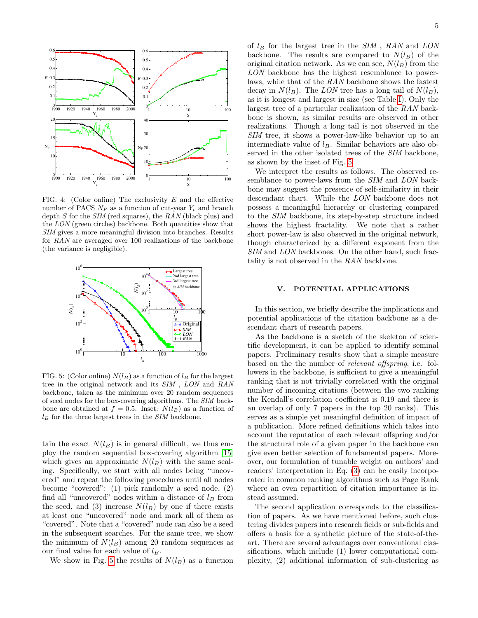

<span id="page-4-0"></span>FIG. 4: (Color online) The exclusivity  $E$  and the effective number of PACS  $N_P$  as a function of cut-year  $Y_c$  and branch depth  $S$  for the  $SIM$  (red squares), the  $RAN$  (black plus) and the LON (green circles) backbone. Both quantities show that SIM gives a more meaningful division into branches. Results for RAN are averaged over 100 realizations of the backbone (the variance is negligible).



<span id="page-4-1"></span>FIG. 5: (Color online)  $N(l_B)$  as a function of  $l_B$  for the largest tree in the original network and its SIM , LON and RAN backbone, taken as the minimum over 20 random sequences of seed nodes for the box-covering algorithms. The SIM backbone are obtained at  $f = 0.5$ . Inset:  $N(l_B)$  as a function of  $l_B$  for the three largest trees in the SIM backbone.

tain the exact  $N(l_B)$  is in general difficult, we thus employ the random sequential box-covering algorithm [\[15\]](#page-5-20) which gives an approximate  $N(l_B)$  with the same scaling. Specifically, we start with all nodes being "uncovered" and repeat the following procedures until all nodes become "covered": (1) pick randomly a seed node, (2) find all "uncovered" nodes within a distance of  $l_B$  from the seed, and (3) increase  $N(l_B)$  by one if there exists at least one "uncovered" node and mark all of them as "covered". Note that a "covered" node can also be a seed in the subsequent searches. For the same tree, we show the minimum of  $N(l_B)$  among 20 random sequences as our final value for each value of  $l_B$ .

We show in Fig. [5](#page-4-1) the results of  $N(l_B)$  as a function

of  $l_B$  for the largest tree in the  $SIM$ ,  $RAN$  and  $LON$ backbone. The results are compared to  $N(l_B)$  of the original citation network. As we can see,  $N(l_B)$  from the LON backbone has the highest resemblance to powerlaws, while that of the RAN backbone shows the fastest decay in  $N(l_B)$ . The LON tree has a long tail of  $N(l_B)$ , as it is longest and largest in size (see Table [I\)](#page-2-0). Only the largest tree of a particular realization of the RAN backbone is shown, as similar results are observed in other realizations. Though a long tail is not observed in the SIM tree, it shows a power-law-like behavior up to an intermediate value of  $l_B$ . Similar behaviors are also observed in the other isolated trees of the SIM backbone, as shown by the inset of Fig. [5.](#page-4-1)

We interpret the results as follows. The observed resemblance to power-laws from the SIM and LON backbone may suggest the presence of self-similarity in their descendant chart. While the LON backbone does not possess a meaningful hierarchy or clustering compared to the SIM backbone, its step-by-step structure indeed shows the highest fractality. We note that a rather short power-law is also observed in the original network, though characterized by a different exponent from the SIM and LON backbones. On the other hand, such fractality is not observed in the RAN backbone.

# V. POTENTIAL APPLICATIONS

In this section, we briefly describe the implications and potential applications of the citation backbone as a descendant chart of research papers.

As the backbone is a sketch of the skeleton of scientific development, it can be applied to identify seminal papers. Preliminary results show that a simple measure based on the the number of relevant offspring, i.e. followers in the backbone, is sufficient to give a meaningful ranking that is not trivially correlated with the original number of incoming citations (between the two ranking the Kendall's correlation coefficient is 0.19 and there is an overlap of only 7 papers in the top 20 ranks). This serves as a simple yet meaningful definition of impact of a publication. More refined definitions which takes into account the reputation of each relevant offspring and/or the structural role of a given paper in the backbone can give even better selection of fundamental papers. Moreover, our formulation of tunable weight on authors' and readers' interpretation in Eq. [\(3\)](#page-1-3) can be easily incorporated in common ranking algorithms such as Page Rank where an even repartition of citation importance is instead assumed.

The second application corresponds to the classification of papers. As we have mentioned before, such clustering divides papers into research fields or sub-fields and offers a basis for a synthetic picture of the state-of-theart. There are several advantages over conventional classifications, which include (1) lower computational complexity, (2) additional information of sub-clustering as